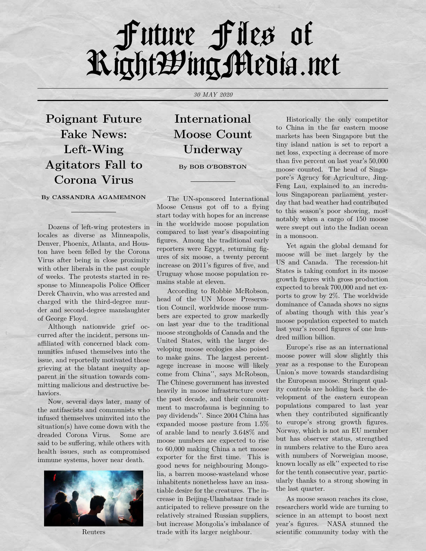## Future File' of RightWing Media.net

*30 MAY 2020*

**Poignant Future Fake News: Left-Wing Agitators Fall to Corona Virus**

## **By CASSANDRA AGAMEMNON**

Dozens of left-wing protesters in locales as diverse as Minneapolis, Denver, Phoenix, Atlanta, and Houston have been felled by the Corona Virus after being in close proximity with other liberals in the past couple of weeks. The protests started in response to Minneapolis Police Officer Derek Chauvin, who was arrested and charged with the third-degree murder and second-degree manslaughter of George Floyd.

Although nationwide grief occurred after the incident, persons unaffiliated with concerned black communities infused themselves into the issue, and reportedly motivated those grieving at the blatant inequity apparent in the situation towards committing malicious and destructive behaviors.

Now, several days later, many of the antifascists and communists who infused themselves uninvited into the situation(s) have come down with the dreaded Corona Virus. Some are said to be suffering, while others with health issues, such as compromised immune systems, hover near death.



Reuters

## **International Moose Count Underway**

**By BOB O'BOBSTON**

The UN-sponsored International Moose Census got off to a flying start today with hopes for an increase in the worldwide moose population compared to last year's disapointing figures. Among the traditional early reporters were Egypt, returning figures of six moose, a twenty percent increase on 2011's figures of five, and Uruguay whose moose population remains stable at eleven.

According to Robbie McRobson, head of the UN Moose Preservation Council, worldwide moose numbers are expected to grow markedly on last year due to the traditional moose strongholds of Canada and the United States, with the larger developing moose ecologies also poised to make gains. The largest percentagege increase in moose will likely come from China'', says McRobson, The Chinese government has invested heavily in moose infrastructure over the past decade, and their committment to macrofauna is beginning to pay dividends''. Since 2004 China has expanded moose pasture from 1.5% of arable land to nearly 3.648% and moose numbers are expected to rise to 60,000 making China a net moose exporter for the first time. This is good news for neighbouring Mongolia, a barren moose-wasteland whose inhabitents nonetheless have an insatiable desire for the creatures. The increase in Beijing-Ulanbataar trade is anticipated to relieve pressure on the relatively strained Russian suppliers, but increase Mongolia's imbalance of trade with its larger neighbour.

Historically the only competitor to China in the far eastern moose markets has been Singapore but the tiny island nation is set to report a net loss, expecting a decrease of more than five percent on last year's 50,000 moose counted. The head of Singapore's Agency for Agriculture, Jing-Feng Lau, explained to an incredulous Singaporean parliament yesterday that bad weather had contributed to this season's poor showing, most notably when a cargo of 150 moose were swept out into the Indian ocean in a monsoon.

Yet again the global demand for moose will be met largely by the US and Canada. The recession-hit States is taking comfort in its moose growth figures with gross production expected to break 700,000 and net exports to grow by 2%. The worldwide dominance of Canada shows no signs of abating though with this year's moose population expected to match last year's record figures of one hundred million billion.

Europe's rise as an international moose power will slow slightly this year as a response to the European Union's move towards standardising the European moose. Stringent quality controls are holding back the development of the eastern european populations compared to last year when they contributed significantly to europe's strong growth figures. Norway, which is not an EU member but has observer status, strengthed in numbers relative to the Euro area with numbers of Norweigian moose, known locally as elk'' expected to rise for the tenth consecutive year, particularly thanks to a strong showing in the last quarter.

As moose season reaches its close, researchers world wide are turning to science in an attempt to boost next year's figures. NASA stunned the scientific community today with the